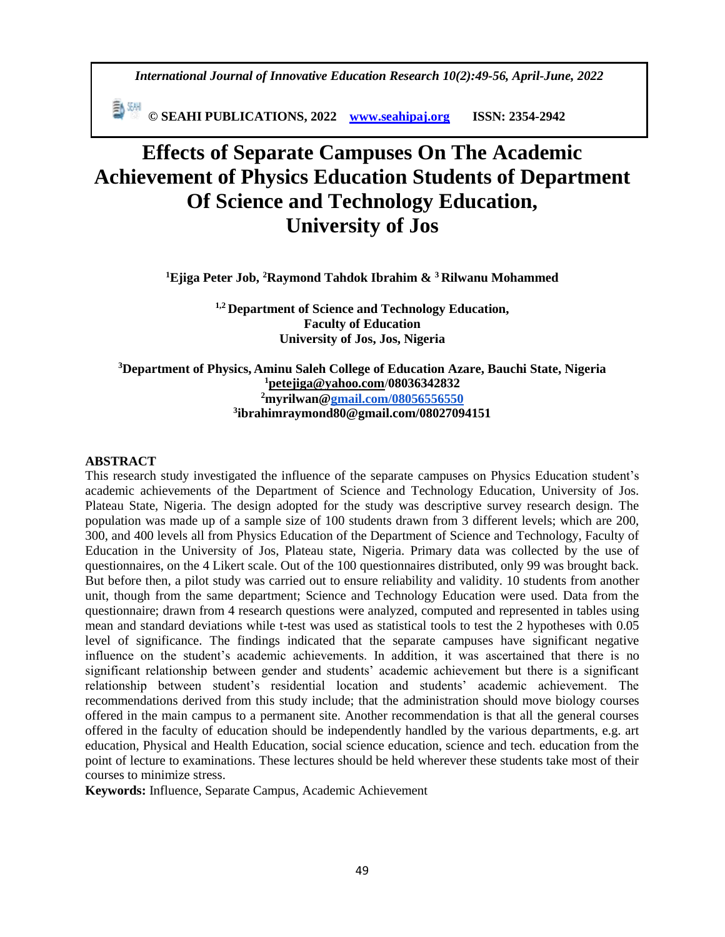*International Journal of Innovative Education Research 10(2):49-56, April-June, 2022*

 **© SEAHI PUBLICATIONS, 2022 [www.seahipaj.org](http://www.seahipaj.org/) ISSN: 2354-2942**

# **Effects of Separate Campuses On The Academic Achievement of Physics Education Students of Department Of Science and Technology Education, University of Jos**

**<sup>1</sup>Ejiga Peter Job, <sup>2</sup>Raymond Tahdok Ibrahim & <sup>3</sup>Rilwanu Mohammed**

**1,2 Department of Science and Technology Education, Faculty of Education University of Jos, Jos, Nigeria**

**Department of Physics, Aminu Saleh College of Education Azare, Bauchi State, Nigeria [petejiga@yahoo.com](mailto:petejiga@yahoo.com)**/**08036342832 myrilwan[@gmail.com/08056556550](http://gmail.com/08056556550) ibrahimraymond80@gmail.com/08027094151**

#### **ABSTRACT**

This research study investigated the influence of the separate campuses on Physics Education student's academic achievements of the Department of Science and Technology Education, University of Jos. Plateau State, Nigeria. The design adopted for the study was descriptive survey research design. The population was made up of a sample size of 100 students drawn from 3 different levels; which are 200, 300, and 400 levels all from Physics Education of the Department of Science and Technology, Faculty of Education in the University of Jos, Plateau state, Nigeria. Primary data was collected by the use of questionnaires, on the 4 Likert scale. Out of the 100 questionnaires distributed, only 99 was brought back. But before then, a pilot study was carried out to ensure reliability and validity. 10 students from another unit, though from the same department; Science and Technology Education were used. Data from the questionnaire; drawn from 4 research questions were analyzed, computed and represented in tables using mean and standard deviations while t-test was used as statistical tools to test the 2 hypotheses with 0.05 level of significance. The findings indicated that the separate campuses have significant negative influence on the student's academic achievements. In addition, it was ascertained that there is no significant relationship between gender and students' academic achievement but there is a significant relationship between student's residential location and students' academic achievement. The recommendations derived from this study include; that the administration should move biology courses offered in the main campus to a permanent site. Another recommendation is that all the general courses offered in the faculty of education should be independently handled by the various departments, e.g. art education, Physical and Health Education, social science education, science and tech. education from the point of lecture to examinations. These lectures should be held wherever these students take most of their courses to minimize stress.

**Keywords:** Influence, Separate Campus, Academic Achievement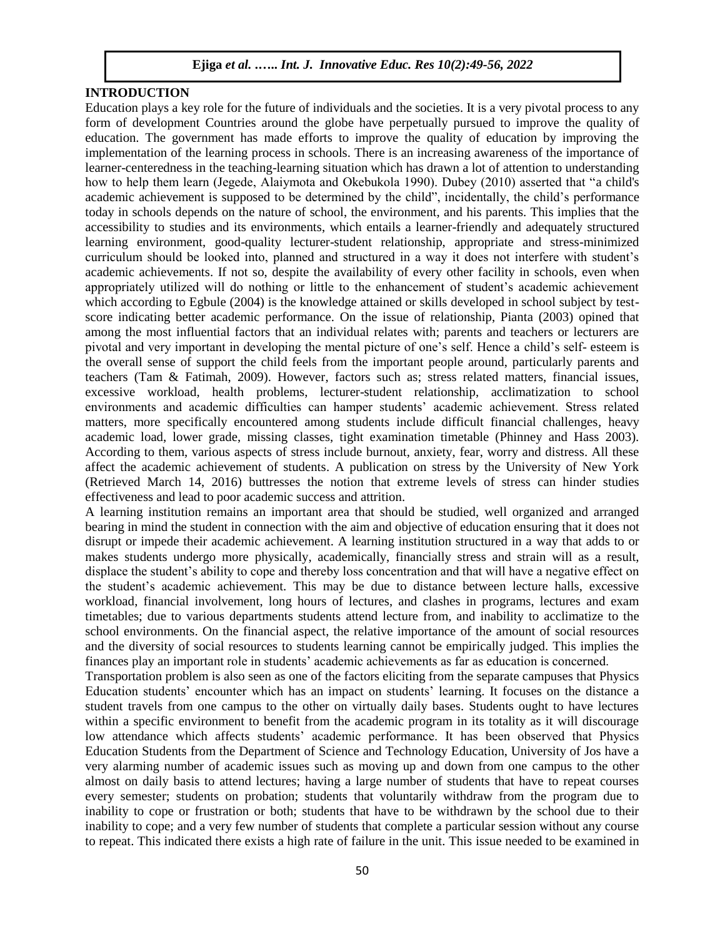# **INTRODUCTION**

Education plays a key role for the future of individuals and the societies. It is a very pivotal process to any form of development Countries around the globe have perpetually pursued to improve the quality of education. The government has made efforts to improve the quality of education by improving the implementation of the learning process in schools. There is an increasing awareness of the importance of learner-centeredness in the teaching-learning situation which has drawn a lot of attention to understanding how to help them learn (Jegede, Alaiymota and Okebukola 1990). Dubey (2010) asserted that "a child's academic achievement is supposed to be determined by the child", incidentally, the child's performance today in schools depends on the nature of school, the environment, and his parents. This implies that the accessibility to studies and its environments, which entails a learner-friendly and adequately structured learning environment, good-quality lecturer-student relationship, appropriate and stress-minimized curriculum should be looked into, planned and structured in a way it does not interfere with student's academic achievements. If not so, despite the availability of every other facility in schools, even when appropriately utilized will do nothing or little to the enhancement of student's academic achievement which according to Egbule (2004) is the knowledge attained or skills developed in school subject by testscore indicating better academic performance. On the issue of relationship, Pianta (2003) opined that among the most influential factors that an individual relates with; parents and teachers or lecturers are pivotal and very important in developing the mental picture of one's self. Hence a child's self- esteem is the overall sense of support the child feels from the important people around, particularly parents and teachers (Tam & Fatimah, 2009). However, factors such as; stress related matters, financial issues, excessive workload, health problems, lecturer-student relationship, acclimatization to school environments and academic difficulties can hamper students' academic achievement. Stress related matters, more specifically encountered among students include difficult financial challenges, heavy academic load, lower grade, missing classes, tight examination timetable (Phinney and Hass 2003). According to them, various aspects of stress include burnout, anxiety, fear, worry and distress. All these affect the academic achievement of students. A publication on stress by the University of New York (Retrieved March 14, 2016) buttresses the notion that extreme levels of stress can hinder studies effectiveness and lead to poor academic success and attrition.

A learning institution remains an important area that should be studied, well organized and arranged bearing in mind the student in connection with the aim and objective of education ensuring that it does not disrupt or impede their academic achievement. A learning institution structured in a way that adds to or makes students undergo more physically, academically, financially stress and strain will as a result, displace the student's ability to cope and thereby loss concentration and that will have a negative effect on the student's academic achievement. This may be due to distance between lecture halls, excessive workload, financial involvement, long hours of lectures, and clashes in programs, lectures and exam timetables; due to various departments students attend lecture from, and inability to acclimatize to the school environments. On the financial aspect, the relative importance of the amount of social resources and the diversity of social resources to students learning cannot be empirically judged. This implies the finances play an important role in students' academic achievements as far as education is concerned.

Transportation problem is also seen as one of the factors eliciting from the separate campuses that Physics Education students' encounter which has an impact on students' learning. It focuses on the distance a student travels from one campus to the other on virtually daily bases. Students ought to have lectures within a specific environment to benefit from the academic program in its totality as it will discourage low attendance which affects students' academic performance. It has been observed that Physics Education Students from the Department of Science and Technology Education, University of Jos have a very alarming number of academic issues such as moving up and down from one campus to the other almost on daily basis to attend lectures; having a large number of students that have to repeat courses every semester; students on probation; students that voluntarily withdraw from the program due to inability to cope or frustration or both; students that have to be withdrawn by the school due to their inability to cope; and a very few number of students that complete a particular session without any course to repeat. This indicated there exists a high rate of failure in the unit. This issue needed to be examined in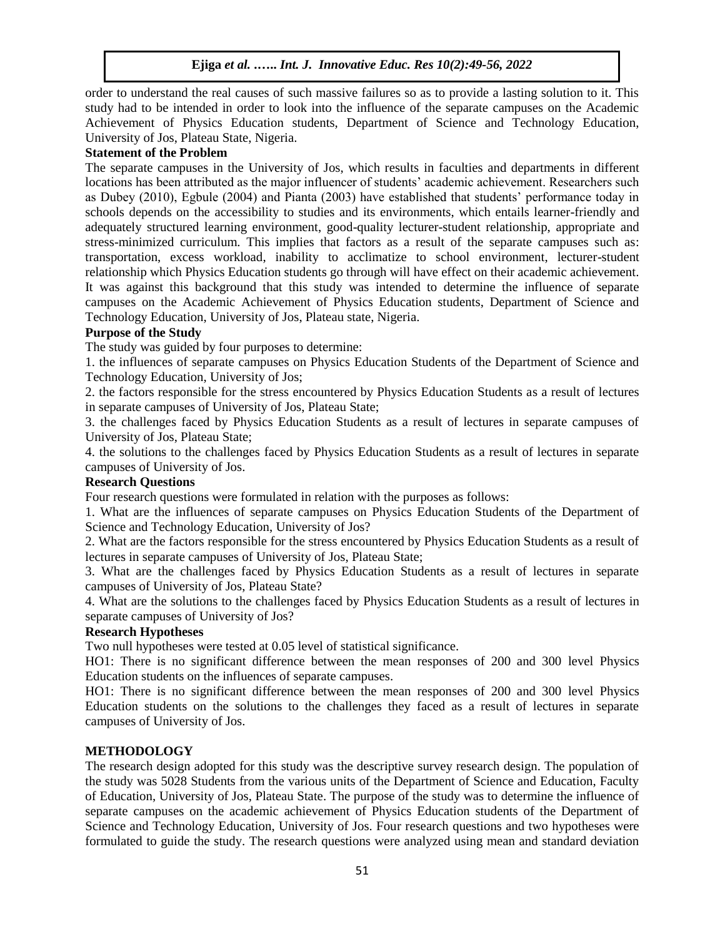order to understand the real causes of such massive failures so as to provide a lasting solution to it. This study had to be intended in order to look into the influence of the separate campuses on the Academic Achievement of Physics Education students, Department of Science and Technology Education, University of Jos, Plateau State, Nigeria.

#### **Statement of the Problem**

The separate campuses in the University of Jos, which results in faculties and departments in different locations has been attributed as the major influencer of students' academic achievement. Researchers such as Dubey (2010), Egbule (2004) and Pianta (2003) have established that students' performance today in schools depends on the accessibility to studies and its environments, which entails learner-friendly and adequately structured learning environment, good-quality lecturer-student relationship, appropriate and stress-minimized curriculum. This implies that factors as a result of the separate campuses such as: transportation, excess workload, inability to acclimatize to school environment, lecturer-student relationship which Physics Education students go through will have effect on their academic achievement. It was against this background that this study was intended to determine the influence of separate campuses on the Academic Achievement of Physics Education students, Department of Science and Technology Education, University of Jos, Plateau state, Nigeria.

## **Purpose of the Study**

The study was guided by four purposes to determine:

1. the influences of separate campuses on Physics Education Students of the Department of Science and Technology Education, University of Jos;

2. the factors responsible for the stress encountered by Physics Education Students as a result of lectures in separate campuses of University of Jos, Plateau State;

3. the challenges faced by Physics Education Students as a result of lectures in separate campuses of University of Jos, Plateau State;

4. the solutions to the challenges faced by Physics Education Students as a result of lectures in separate campuses of University of Jos.

#### **Research Questions**

Four research questions were formulated in relation with the purposes as follows:

1. What are the influences of separate campuses on Physics Education Students of the Department of Science and Technology Education, University of Jos?

2. What are the factors responsible for the stress encountered by Physics Education Students as a result of lectures in separate campuses of University of Jos, Plateau State;

3. What are the challenges faced by Physics Education Students as a result of lectures in separate campuses of University of Jos, Plateau State?

4. What are the solutions to the challenges faced by Physics Education Students as a result of lectures in separate campuses of University of Jos?

#### **Research Hypotheses**

Two null hypotheses were tested at 0.05 level of statistical significance.

HO1: There is no significant difference between the mean responses of 200 and 300 level Physics Education students on the influences of separate campuses.

HO1: There is no significant difference between the mean responses of 200 and 300 level Physics Education students on the solutions to the challenges they faced as a result of lectures in separate campuses of University of Jos.

## **METHODOLOGY**

The research design adopted for this study was the descriptive survey research design. The population of the study was 5028 Students from the various units of the Department of Science and Education, Faculty of Education, University of Jos, Plateau State. The purpose of the study was to determine the influence of separate campuses on the academic achievement of Physics Education students of the Department of Science and Technology Education, University of Jos. Four research questions and two hypotheses were formulated to guide the study. The research questions were analyzed using mean and standard deviation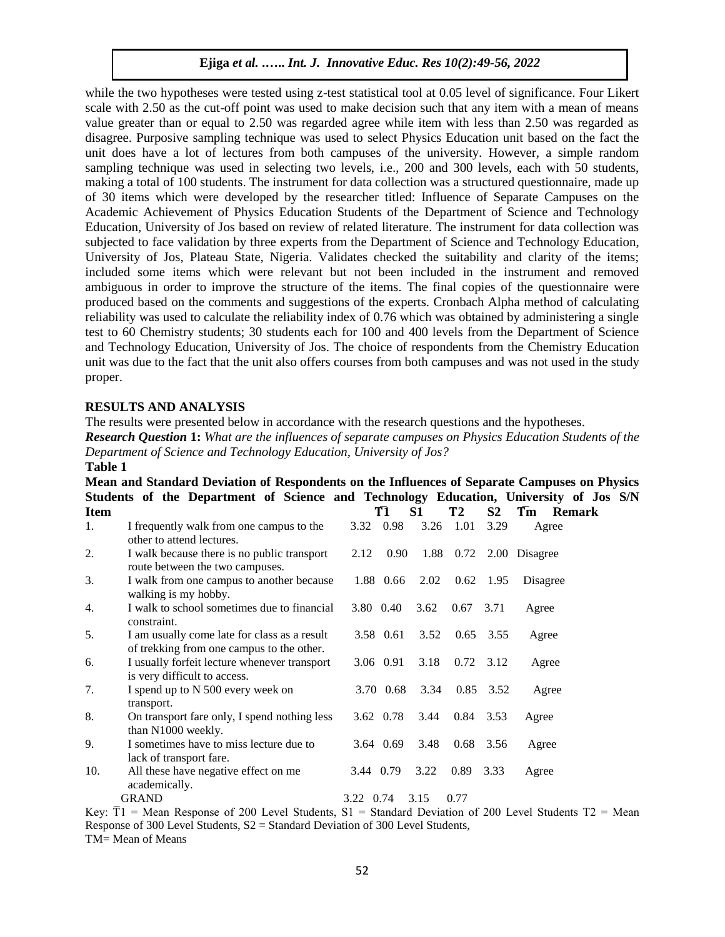while the two hypotheses were tested using z-test statistical tool at 0.05 level of significance. Four Likert scale with 2.50 as the cut-off point was used to make decision such that any item with a mean of means value greater than or equal to 2.50 was regarded agree while item with less than 2.50 was regarded as disagree. Purposive sampling technique was used to select Physics Education unit based on the fact the unit does have a lot of lectures from both campuses of the university. However, a simple random sampling technique was used in selecting two levels, i.e., 200 and 300 levels, each with 50 students, making a total of 100 students. The instrument for data collection was a structured questionnaire, made up of 30 items which were developed by the researcher titled: Influence of Separate Campuses on the Academic Achievement of Physics Education Students of the Department of Science and Technology Education, University of Jos based on review of related literature. The instrument for data collection was subjected to face validation by three experts from the Department of Science and Technology Education, University of Jos, Plateau State, Nigeria. Validates checked the suitability and clarity of the items; included some items which were relevant but not been included in the instrument and removed ambiguous in order to improve the structure of the items. The final copies of the questionnaire were produced based on the comments and suggestions of the experts. Cronbach Alpha method of calculating reliability was used to calculate the reliability index of 0.76 which was obtained by administering a single test to 60 Chemistry students; 30 students each for 100 and 400 levels from the Department of Science and Technology Education, University of Jos. The choice of respondents from the Chemistry Education unit was due to the fact that the unit also offers courses from both campuses and was not used in the study proper.

## **RESULTS AND ANALYSIS**

The results were presented below in accordance with the research questions and the hypotheses. *Research Question* **1:** *What are the influences of separate campuses on Physics Education Students of the Department of Science and Technology Education, University of Jos?* **Table 1** 

| Mean and Standard Deviation of Respondents on the Influences of Separate Campuses on Physics |                                                                                           |           |           |                |           |                |               |               |  |
|----------------------------------------------------------------------------------------------|-------------------------------------------------------------------------------------------|-----------|-----------|----------------|-----------|----------------|---------------|---------------|--|
|                                                                                              | Students of the Department of Science and Technology Education, University of Jos S/N     |           |           |                |           |                |               |               |  |
| <b>Item</b>                                                                                  |                                                                                           |           | T1        | S <sub>1</sub> | <b>T2</b> | S <sub>2</sub> | Tm            | <b>Remark</b> |  |
| 1.                                                                                           | I frequently walk from one campus to the<br>other to attend lectures.                     |           | 3.32 0.98 | 3.26           | 1.01      | 3.29           | Agree         |               |  |
| 2.                                                                                           | I walk because there is no public transport<br>route between the two campuses.            | 2.12      | 0.90      |                | 1.88 0.72 |                | 2.00 Disagree |               |  |
| 3.                                                                                           | I walk from one campus to another because<br>walking is my hobby.                         |           | 1.88 0.66 | 2.02           | 0.62      | 1.95           | Disagree      |               |  |
| 4.                                                                                           | I walk to school sometimes due to financial<br>constraint.                                |           | 3.80 0.40 | 3.62           | 0.67      | 3.71           | Agree         |               |  |
| 5.                                                                                           | I am usually come late for class as a result<br>of trekking from one campus to the other. |           | 3.58 0.61 | 3.52           | 0.65      | 3.55           | Agree         |               |  |
| 6.                                                                                           | I usually forfeit lecture whenever transport<br>is very difficult to access.              |           | 3.06 0.91 | 3.18           | 0.72      | 3.12           | Agree         |               |  |
| 7.                                                                                           | I spend up to N 500 every week on<br>transport.                                           |           | 3.70 0.68 | 3.34           | 0.85      | 3.52           | Agree         |               |  |
| 8.                                                                                           | On transport fare only, I spend nothing less<br>than N1000 weekly.                        |           | 3.62 0.78 | 3.44           |           | 0.84 3.53      | Agree         |               |  |
| 9.                                                                                           | I sometimes have to miss lecture due to<br>lack of transport fare.                        |           | 3.64 0.69 | 3.48           | 0.68      | 3.56           | Agree         |               |  |
| 10.                                                                                          | All these have negative effect on me<br>academically.                                     | 3.44 0.79 |           | 3.22           | 0.89      | 3.33           | Agree         |               |  |
|                                                                                              | <b>GRAND</b>                                                                              | 3.22 0.74 |           | 3.15           | 0.77      |                |               |               |  |

Key:  $\overline{T}1$  = Mean Response of 200 Level Students, S1 = Standard Deviation of 200 Level Students T2 = Mean Response of 300 Level Students, S2 = Standard Deviation of 300 Level Students, TM= Mean of Means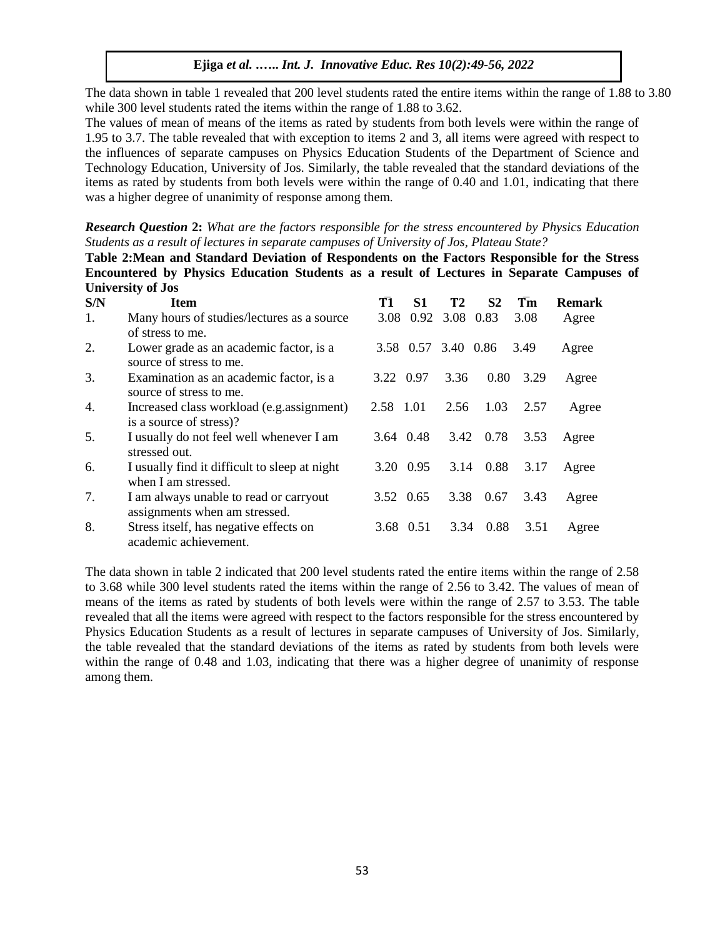The data shown in table 1 revealed that 200 level students rated the entire items within the range of 1.88 to 3.80 while 300 level students rated the items within the range of 1.88 to 3.62.

The values of mean of means of the items as rated by students from both levels were within the range of 1.95 to 3.7. The table revealed that with exception to items 2 and 3, all items were agreed with respect to the influences of separate campuses on Physics Education Students of the Department of Science and Technology Education, University of Jos. Similarly, the table revealed that the standard deviations of the items as rated by students from both levels were within the range of 0.40 and 1.01, indicating that there was a higher degree of unanimity of response among them.

*Research Question* **2:** *What are the factors responsible for the stress encountered by Physics Education Students as a result of lectures in separate campuses of University of Jos, Plateau State?* 

**Table 2:Mean and Standard Deviation of Respondents on the Factors Responsible for the Stress Encountered by Physics Education Students as a result of Lectures in Separate Campuses of University of Jos** 

| S/N | <b>Item</b>                                                             | T1        | S1        | T2                  | S <sub>2</sub> | Tm   | <b>Remark</b> |
|-----|-------------------------------------------------------------------------|-----------|-----------|---------------------|----------------|------|---------------|
| 1.  | Many hours of studies/lectures as a source                              | 3.08      |           | 0.92 3.08           | 0.83           | 3.08 | Agree         |
|     | of stress to me.                                                        |           |           |                     |                |      |               |
| 2.  | Lower grade as an academic factor, is a<br>source of stress to me.      |           |           | 3.58 0.57 3.40 0.86 |                | 3.49 | Agree         |
| 3.  | Examination as an academic factor, is a<br>source of stress to me.      | 3.22 0.97 |           | 3.36                | 0.80           | 3.29 | Agree         |
| 4.  | Increased class workload (e.g. assignment)<br>is a source of stress)?   | 2.58 1.01 |           | 2.56                | 1.03           | 2.57 | Agree         |
| 5.  | I usually do not feel well whenever I am<br>stressed out.               |           | 3.64 0.48 |                     | 3.42 0.78      | 3.53 | Agree         |
| 6.  | I usually find it difficult to sleep at night<br>when I am stressed.    |           | 3.20 0.95 | 3.14                | 0.88           | 3.17 | Agree         |
| 7.  | I am always unable to read or carryout<br>assignments when am stressed. |           | 3.52 0.65 | 3.38                | 0.67           | 3.43 | Agree         |
| 8.  | Stress itself, has negative effects on<br>academic achievement.         |           | 3.68 0.51 | 3.34                | 0.88           | 3.51 | Agree         |

The data shown in table 2 indicated that 200 level students rated the entire items within the range of 2.58 to 3.68 while 300 level students rated the items within the range of 2.56 to 3.42. The values of mean of means of the items as rated by students of both levels were within the range of 2.57 to 3.53. The table revealed that all the items were agreed with respect to the factors responsible for the stress encountered by Physics Education Students as a result of lectures in separate campuses of University of Jos. Similarly, the table revealed that the standard deviations of the items as rated by students from both levels were within the range of 0.48 and 1.03, indicating that there was a higher degree of unanimity of response among them.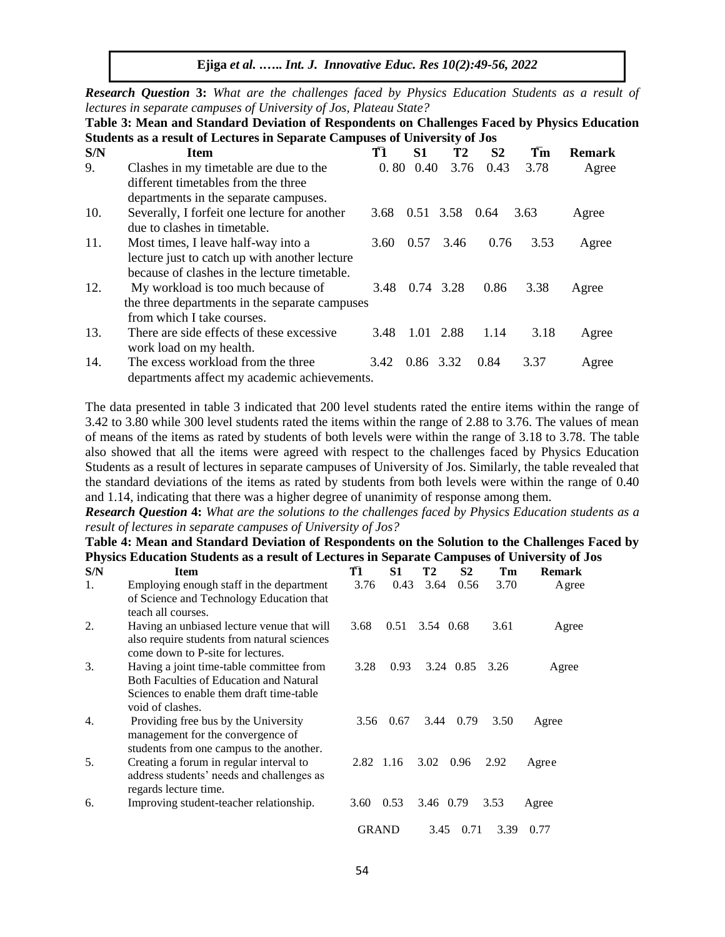*Research Question* **3:** *What are the challenges faced by Physics Education Students as a result of lectures in separate campuses of University of Jos, Plateau State?* 

**Table 3: Mean and Standard Deviation of Respondents on Challenges Faced by Physics Education Students as a result of Lectures in Separate Campuses of University of Jos** 

| S/N | <b>Item</b>                                                                                                        | T1             | S1   | Т2             | S2   | Tm   | <b>Remark</b> |
|-----|--------------------------------------------------------------------------------------------------------------------|----------------|------|----------------|------|------|---------------|
| 9.  | Clashes in my timetable are due to the                                                                             | 0.80           | 0.40 | 3.76           | 0.43 | 3.78 | Agree         |
|     | different timetables from the three<br>departments in the separate campuses.                                       |                |      |                |      |      |               |
| 10. | Severally, I forfeit one lecture for another<br>due to clashes in timetable.                                       | 3.68           |      | 0.51 3.58 0.64 |      | 3.63 | Agree         |
| 11. | Most times, I leave half-way into a<br>lecture just to catch up with another lecture                               | 3.60           | 0.57 | 3.46           | 0.76 | 3.53 | Agree         |
|     | because of clashes in the lecture timetable.                                                                       |                |      |                |      |      |               |
| 12. | My workload is too much because of<br>the three departments in the separate campuses<br>from which I take courses. | 3.48           |      | 0.74 3.28      | 0.86 | 3.38 | Agree         |
| 13. | There are side effects of these excessive<br>work load on my health.                                               | 3.48           |      | 1.01 2.88      | 1.14 | 3.18 | Agree         |
| 14. | The excess workload from the three<br>departments affect my academic achievements.                                 | 3.42 0.86 3.32 |      |                | 0.84 | 3.37 | Agree         |

The data presented in table 3 indicated that 200 level students rated the entire items within the range of 3.42 to 3.80 while 300 level students rated the items within the range of 2.88 to 3.76. The values of mean of means of the items as rated by students of both levels were within the range of 3.18 to 3.78. The table also showed that all the items were agreed with respect to the challenges faced by Physics Education Students as a result of lectures in separate campuses of University of Jos. Similarly, the table revealed that the standard deviations of the items as rated by students from both levels were within the range of 0.40 and 1.14, indicating that there was a higher degree of unanimity of response among them.

*Research Question* **4:** *What are the solutions to the challenges faced by Physics Education students as a result of lectures in separate campuses of University of Jos?*

# **Table 4: Mean and Standard Deviation of Respondents on the Solution to the Challenges Faced by Physics Education Students as a result of Lectures in Separate Campuses of University of Jos**

| S/N              | <b>Item</b>                                                                                                                                                | T1           | S1   | T2        | S <sub>2</sub> | Tm   | <b>Remark</b> |
|------------------|------------------------------------------------------------------------------------------------------------------------------------------------------------|--------------|------|-----------|----------------|------|---------------|
| 1.               | Employing enough staff in the department<br>of Science and Technology Education that<br>teach all courses.                                                 | 3.76         | 0.43 | 3.64      | 0.56           | 3.70 | Agree         |
| 2.               | Having an unbiased lecture venue that will<br>also require students from natural sciences<br>come down to P-site for lectures.                             | 3.68         | 0.51 | 3.54 0.68 |                | 3.61 | Agree         |
| 3.               | Having a joint time-table committee from<br><b>Both Faculties of Education and Natural</b><br>Sciences to enable them draft time-table<br>void of clashes. | 3.28         | 0.93 |           | 3.24 0.85      | 3.26 | Agree         |
| $\overline{4}$ . | Providing free bus by the University<br>management for the convergence of<br>students from one campus to the another.                                      | 3.56         | 0.67 | 3.44      | 0.79           | 3.50 | Agree         |
| 5.               | Creating a forum in regular interval to<br>address students' needs and challenges as<br>regards lecture time.                                              | 2.82 1.16    |      | 3.02      | 0.96           | 2.92 | Agree         |
| 6.               | Improving student-teacher relationship.                                                                                                                    | 3.60         | 0.53 | 3.46 0.79 |                | 3.53 | Agree         |
|                  |                                                                                                                                                            | <b>GRAND</b> |      | 3.45      | 0.71           | 3.39 | 0.77          |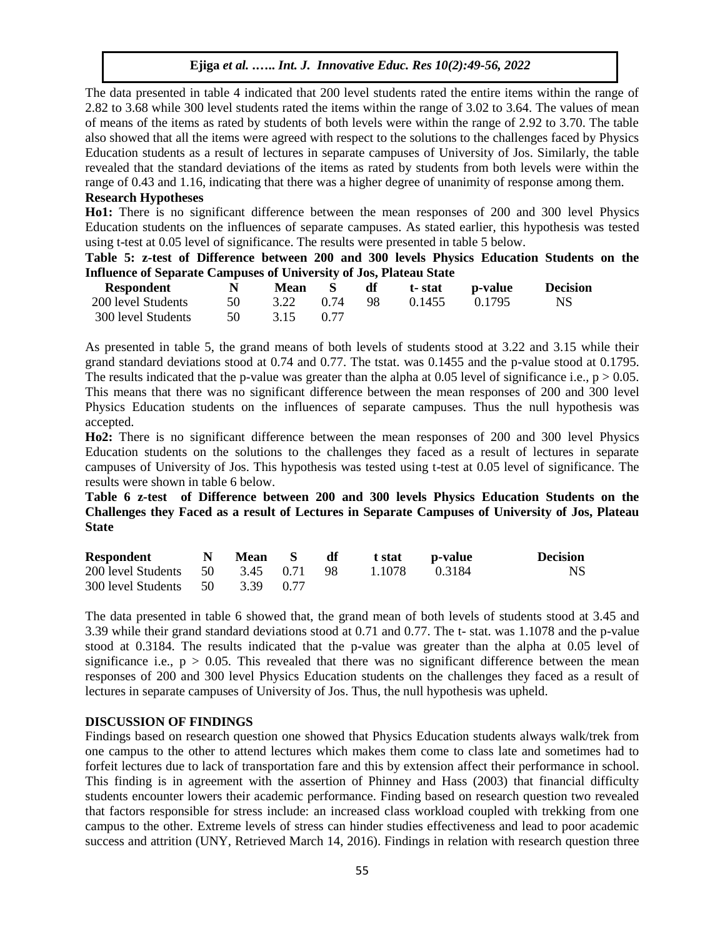The data presented in table 4 indicated that 200 level students rated the entire items within the range of 2.82 to 3.68 while 300 level students rated the items within the range of 3.02 to 3.64. The values of mean of means of the items as rated by students of both levels were within the range of 2.92 to 3.70. The table also showed that all the items were agreed with respect to the solutions to the challenges faced by Physics Education students as a result of lectures in separate campuses of University of Jos. Similarly, the table revealed that the standard deviations of the items as rated by students from both levels were within the range of 0.43 and 1.16, indicating that there was a higher degree of unanimity of response among them.

#### **Research Hypotheses**

**Ho1:** There is no significant difference between the mean responses of 200 and 300 level Physics Education students on the influences of separate campuses. As stated earlier, this hypothesis was tested using t-test at 0.05 level of significance. The results were presented in table 5 below.

**Table 5: z-test of Difference between 200 and 300 levels Physics Education Students on the Influence of Separate Campuses of University of Jos, Plateau State** 

| <b>Respondent</b>  | N.   | Mean         |      | df |        | t-stat p-value | <b>Decision</b> |
|--------------------|------|--------------|------|----|--------|----------------|-----------------|
| 200 level Students | 50   | 3.22 0.74 98 |      |    | 0.1455 | 0.1795         | <b>NS</b>       |
| 300 level Students | - 50 | 3.15         | 0.77 |    |        |                |                 |

As presented in table 5, the grand means of both levels of students stood at 3.22 and 3.15 while their grand standard deviations stood at 0.74 and 0.77. The tstat. was 0.1455 and the p-value stood at 0.1795. The results indicated that the p-value was greater than the alpha at 0.05 level of significance i.e.,  $p > 0.05$ . This means that there was no significant difference between the mean responses of 200 and 300 level Physics Education students on the influences of separate campuses. Thus the null hypothesis was accepted.

**Ho2:** There is no significant difference between the mean responses of 200 and 300 level Physics Education students on the solutions to the challenges they faced as a result of lectures in separate campuses of University of Jos. This hypothesis was tested using t-test at 0.05 level of significance. The results were shown in table 6 below.

**Table 6 z-test of Difference between 200 and 300 levels Physics Education Students on the Challenges they Faced as a result of Lectures in Separate Campuses of University of Jos, Plateau State** 

| <b>Respondent</b>                  | $\mathbf N$ | Mean |      | df | t stat | p-value | <b>Decision</b> |
|------------------------------------|-------------|------|------|----|--------|---------|-----------------|
| 200 level Students 50 3.45 0.71 98 |             |      |      |    | 1.1078 | 0.3184  | NS.             |
| 300 level Students 50 3.39         |             |      | 0.77 |    |        |         |                 |

The data presented in table 6 showed that, the grand mean of both levels of students stood at 3.45 and 3.39 while their grand standard deviations stood at 0.71 and 0.77. The t- stat. was 1.1078 and the p-value stood at 0.3184. The results indicated that the p-value was greater than the alpha at 0.05 level of significance i.e.,  $p > 0.05$ . This revealed that there was no significant difference between the mean responses of 200 and 300 level Physics Education students on the challenges they faced as a result of lectures in separate campuses of University of Jos. Thus, the null hypothesis was upheld.

## **DISCUSSION OF FINDINGS**

Findings based on research question one showed that Physics Education students always walk/trek from one campus to the other to attend lectures which makes them come to class late and sometimes had to forfeit lectures due to lack of transportation fare and this by extension affect their performance in school. This finding is in agreement with the assertion of Phinney and Hass (2003) that financial difficulty students encounter lowers their academic performance. Finding based on research question two revealed that factors responsible for stress include: an increased class workload coupled with trekking from one campus to the other. Extreme levels of stress can hinder studies effectiveness and lead to poor academic success and attrition (UNY, Retrieved March 14, 2016). Findings in relation with research question three